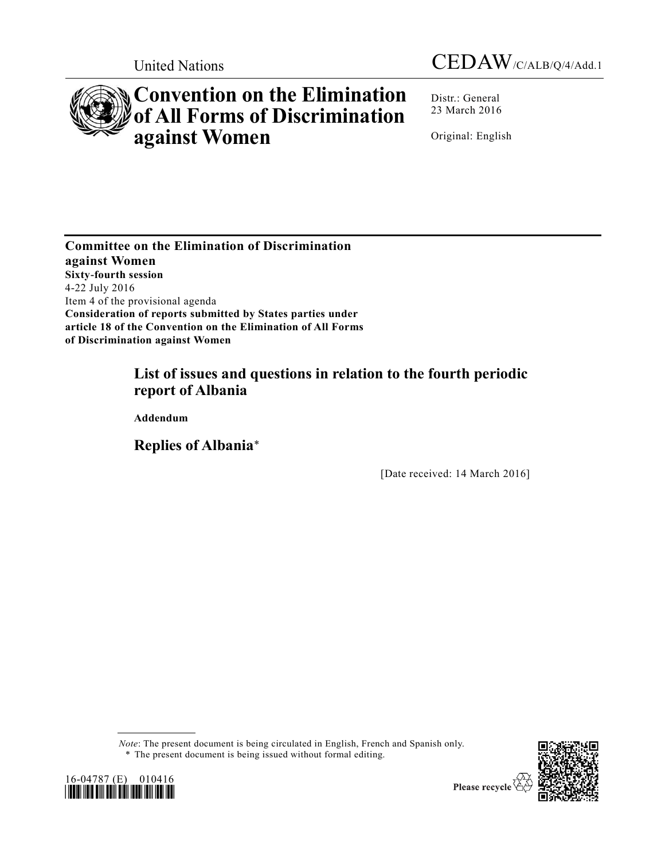



# **Convention on the Elimination of All Forms of Discrimination against Women**

Distr.: General 23 March 2016

Original: English

**Committee on the Elimination of Discrimination against Women Sixty-fourth session** 4-22 July 2016 Item 4 of the provisional agenda **Consideration of reports submitted by States parties under article 18 of the Convention on the Elimination of All Forms of Discrimination against Women**

# **List of issues and questions in relation to the fourth periodic report of Albania**

**Addendum**

**Replies of Albania**\*

[Date received: 14 March 2016]

*Note*: The present document is being circulated in English, French and Spanish only. \* The present document is being issued without formal editing.



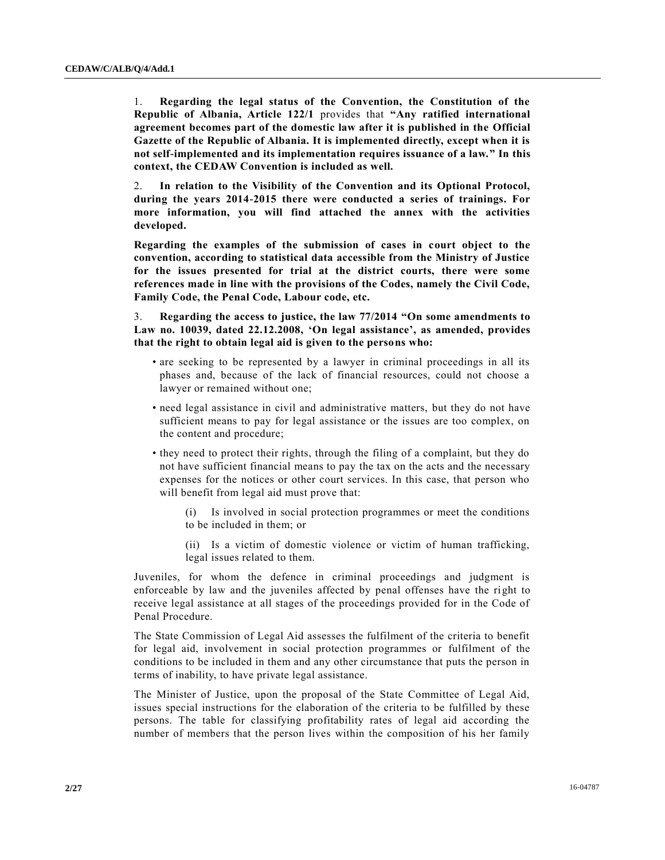1. **Regarding the legal status of the Convention, the Constitution of the Republic of Albania, Article 122/1** provides that **"Any ratified international agreement becomes part of the domestic law after it is published in the Official Gazette of the Republic of Albania. It is implemented directly, except when it is not self-implemented and its implementation requires issuance of a law." In this context, the CEDAW Convention is included as well.**

2. **In relation to the Visibility of the Convention and its Optional Protocol, during the years 2014-2015 there were conducted a series of trainings. For more information, you will find attached the annex with the activities developed.**

**Regarding the examples of the submission of cases in court object to the convention, according to statistical data accessible from the Ministry of Justice for the issues presented for trial at the district courts, there were some references made in line with the provisions of the Codes, namely the Civil Code, Family Code, the Penal Code, Labour code, etc.**

3. **Regarding the access to justice, the law 77/2014 "On some amendments to Law no. 10039, dated 22.12.2008, 'On legal assistance', as amended, provides that the right to obtain legal aid is given to the persons who:**

- are seeking to be represented by a lawyer in criminal proceedings in all its phases and, because of the lack of financial resources, could not choose a lawyer or remained without one;
- need legal assistance in civil and administrative matters, but they do not have sufficient means to pay for legal assistance or the issues are too complex, on the content and procedure;
- they need to protect their rights, through the filing of a complaint, but they do not have sufficient financial means to pay the tax on the acts and the necessary expenses for the notices or other court services. In this case, that person who will benefit from legal aid must prove that:
	- (i) Is involved in social protection programmes or meet the conditions to be included in them; or
	- (ii) Is a victim of domestic violence or victim of human trafficking, legal issues related to them.

Juveniles, for whom the defence in criminal proceedings and judgment is enforceable by law and the juveniles affected by penal offenses have the right to receive legal assistance at all stages of the proceedings provided for in the Code of Penal Procedure.

The State Commission of Legal Aid assesses the fulfilment of the criteria to benefit for legal aid, involvement in social protection programmes or fulfilment of the conditions to be included in them and any other circumstance that puts the person in terms of inability, to have private legal assistance.

The Minister of Justice, upon the proposal of the State Committee of Legal Aid, issues special instructions for the elaboration of the criteria to be fulfilled by these persons. The table for classifying profitability rates of legal aid according the number of members that the person lives within the composition of his her family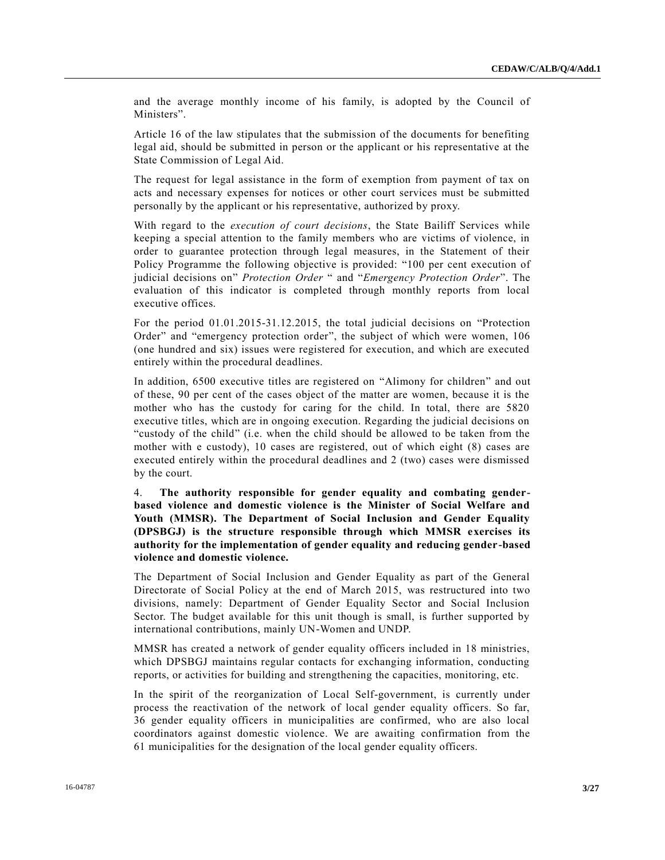and the average monthly income of his family, is adopted by the Council of Ministers".

Article 16 of the law stipulates that the submission of the documents for benefiting legal aid, should be submitted in person or the applicant or his representative at the State Commission of Legal Aid.

The request for legal assistance in the form of exemption from payment of tax on acts and necessary expenses for notices or other court services must be submitted personally by the applicant or his representative, authorized by proxy.

With regard to the *execution of court decisions*, the State Bailiff Services while keeping a special attention to the family members who are victims of violence, in order to guarantee protection through legal measures, in the Statement of their Policy Programme the following objective is provided: "100 per cent execution of judicial decisions on" *Protection Order* " and "*Emergency Protection Order*". The evaluation of this indicator is completed through monthly reports from local executive offices.

For the period 01.01.2015-31.12.2015, the total judicial decisions on "Protection Order" and "emergency protection order", the subject of which were women, 106 (one hundred and six) issues were registered for execution, and which are executed entirely within the procedural deadlines.

In addition, 6500 executive titles are registered on "Alimony for children" and out of these, 90 per cent of the cases object of the matter are women, because it is the mother who has the custody for caring for the child. In total, there are 5820 executive titles, which are in ongoing execution. Regarding the judicial decisions on "custody of the child" (i.e. when the child should be allowed to be taken from the mother with e custody), 10 cases are registered, out of which eight (8) cases are executed entirely within the procedural deadlines and 2 (two) cases were dismissed by the court.

4. **The authority responsible for gender equality and combating genderbased violence and domestic violence is the Minister of Social Welfare and Youth (MMSR). The Department of Social Inclusion and Gender Equality (DPSBGJ) is the structure responsible through which MMSR exercises its authority for the implementation of gender equality and reducing gender-based violence and domestic violence.**

The Department of Social Inclusion and Gender Equality as part of the General Directorate of Social Policy at the end of March 2015, was restructured into two divisions, namely: Department of Gender Equality Sector and Social Inclusion Sector. The budget available for this unit though is small, is further supported by international contributions, mainly UN-Women and UNDP.

MMSR has created a network of gender equality officers included in 18 ministries, which DPSBGJ maintains regular contacts for exchanging information, conducting reports, or activities for building and strengthening the capacities, monitoring, etc.

In the spirit of the reorganization of Local Self-government, is currently under process the reactivation of the network of local gender equality officers. So far, 36 gender equality officers in municipalities are confirmed, who are also local coordinators against domestic violence. We are awaiting confirmation from the 61 municipalities for the designation of the local gender equality officers.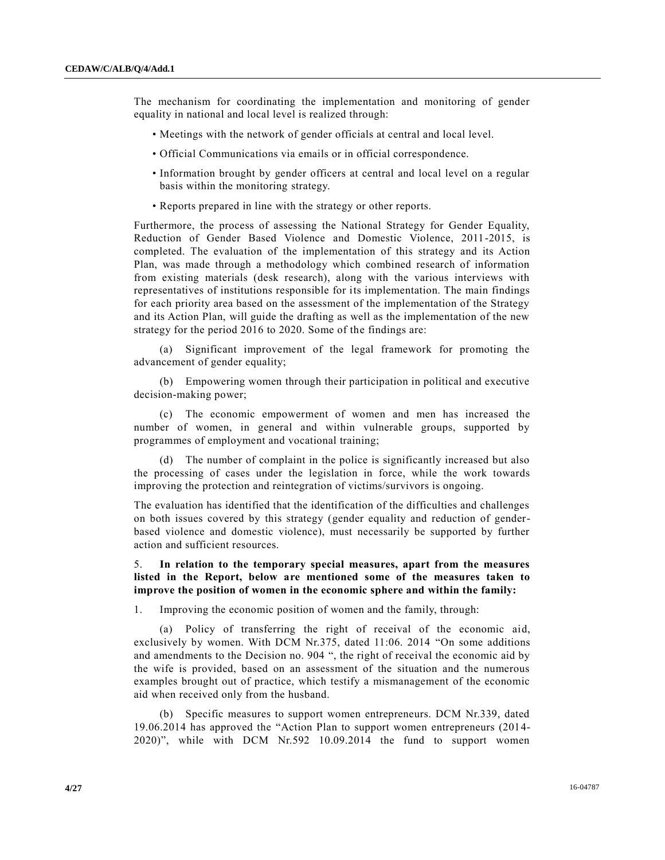The mechanism for coordinating the implementation and monitoring of gender equality in national and local level is realized through:

- Meetings with the network of gender officials at central and local level.
- Official Communications via emails or in official correspondence.
- Information brought by gender officers at central and local level on a regular basis within the monitoring strategy.
- Reports prepared in line with the strategy or other reports.

Furthermore, the process of assessing the National Strategy for Gender Equality, Reduction of Gender Based Violence and Domestic Violence, 2011-2015, is completed. The evaluation of the implementation of this strategy and its Action Plan, was made through a methodology which combined research of information from existing materials (desk research), along with the various interviews with representatives of institutions responsible for its implementation. The main findings for each priority area based on the assessment of the implementation of the Strategy and its Action Plan, will guide the drafting as well as the implementation of the new strategy for the period 2016 to 2020. Some of the findings are:

(a) Significant improvement of the legal framework for promoting the advancement of gender equality;

(b) Empowering women through their participation in political and executive decision-making power;

(c) The economic empowerment of women and men has increased the number of women, in general and within vulnerable groups, supported by programmes of employment and vocational training;

(d) The number of complaint in the police is significantly increased but also the processing of cases under the legislation in force, while the work towards improving the protection and reintegration of victims/survivors is ongoing.

The evaluation has identified that the identification of the difficulties and challenges on both issues covered by this strategy (gender equality and reduction of genderbased violence and domestic violence), must necessarily be supported by further action and sufficient resources.

5. **In relation to the temporary special measures, apart from the measures listed in the Report, below are mentioned some of the measures taken to improve the position of women in the economic sphere and within the family:**

1. Improving the economic position of women and the family, through:

(a) Policy of transferring the right of receival of the economic aid, exclusively by women. With DCM Nr.375, dated 11:06. 2014 "On some additions and amendments to the Decision no. 904 ", the right of receival the economic aid by the wife is provided, based on an assessment of the situation and the numerous examples brought out of practice, which testify a mismanagement of the economic aid when received only from the husband.

(b) Specific measures to support women entrepreneurs. DCM Nr.339, dated 19.06.2014 has approved the "Action Plan to support women entrepreneurs (2014- 2020)", while with DCM Nr.592 10.09.2014 the fund to support women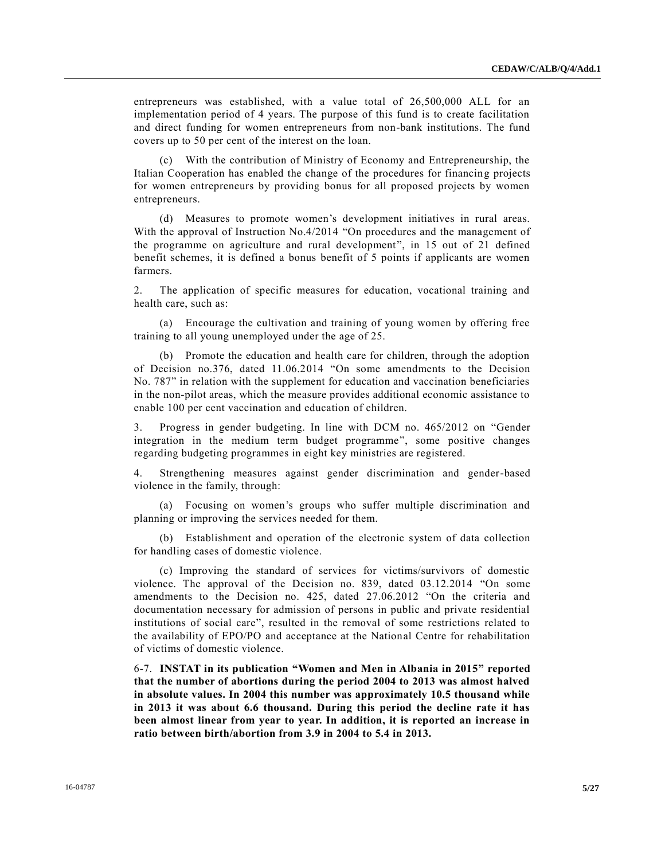entrepreneurs was established, with a value total of 26,500,000 ALL for an implementation period of 4 years. The purpose of this fund is to create facilitation and direct funding for women entrepreneurs from non-bank institutions. The fund covers up to 50 per cent of the interest on the loan.

(c) With the contribution of Ministry of Economy and Entrepreneurship, the Italian Cooperation has enabled the change of the procedures for financing projects for women entrepreneurs by providing bonus for all proposed projects by women entrepreneurs.

(d) Measures to promote women's development initiatives in rural areas. With the approval of Instruction No.4/2014 "On procedures and the management of the programme on agriculture and rural development", in 15 out of 21 defined benefit schemes, it is defined a bonus benefit of 5 points if applicants are women farmers.

2. The application of specific measures for education, vocational training and health care, such as:

(a) Encourage the cultivation and training of young women by offering free training to all young unemployed under the age of 25.

(b) Promote the education and health care for children, through the adoption of Decision no.376, dated 11.06.2014 "On some amendments to the Decision No. 787" in relation with the supplement for education and vaccination beneficiaries in the non-pilot areas, which the measure provides additional economic assistance to enable 100 per cent vaccination and education of children.

3. Progress in gender budgeting. In line with DCM no. 465/2012 on "Gender integration in the medium term budget programme", some positive changes regarding budgeting programmes in eight key ministries are registered.

4. Strengthening measures against gender discrimination and gender-based violence in the family, through:

(a) Focusing on women's groups who suffer multiple discrimination and planning or improving the services needed for them.

(b) Establishment and operation of the electronic system of data collection for handling cases of domestic violence.

(c) Improving the standard of services for victims/survivors of domestic violence. The approval of the Decision no. 839, dated 03.12.2014 "On some amendments to the Decision no. 425, dated 27.06.2012 "On the criteria and documentation necessary for admission of persons in public and private residential institutions of social care", resulted in the removal of some restrictions related to the availability of EPO/PO and acceptance at the National Centre for rehabilitation of victims of domestic violence.

6-7. **INSTAT in its publication "Women and Men in Albania in 2015" reported that the number of abortions during the period 2004 to 2013 was almost halved in absolute values. In 2004 this number was approximately 10.5 thousand while in 2013 it was about 6.6 thousand. During this period the decline rate it has been almost linear from year to year. In addition, it is reported an increase in ratio between birth/abortion from 3.9 in 2004 to 5.4 in 2013.**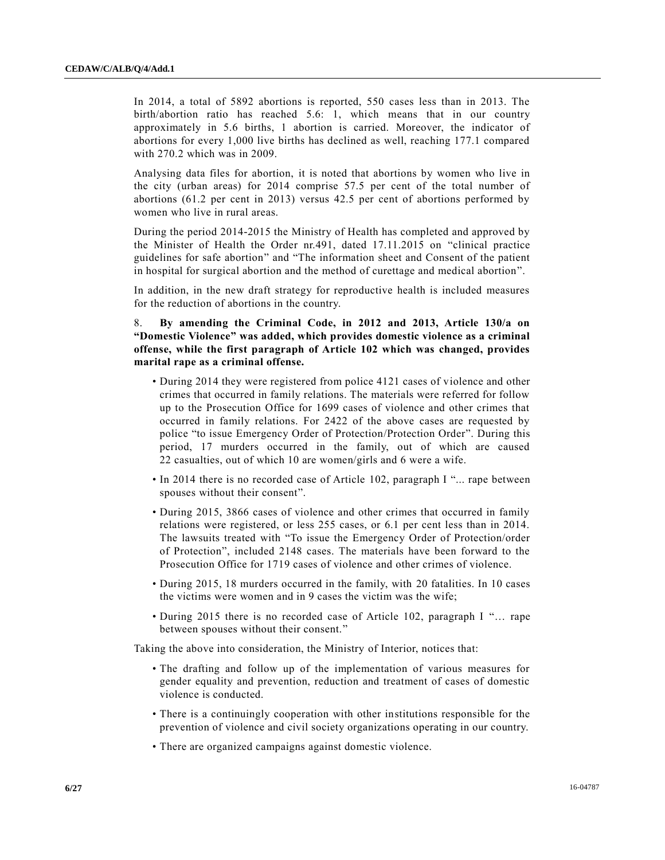In 2014, a total of 5892 abortions is reported, 550 cases less than in 2013. The birth/abortion ratio has reached 5.6: 1, which means that in our country approximately in 5.6 births, 1 abortion is carried. Moreover, the indicator of abortions for every 1,000 live births has declined as well, reaching 177.1 compared with 270.2 which was in 2009.

Analysing data files for abortion, it is noted that abortions by women who live in the city (urban areas) for 2014 comprise 57.5 per cent of the total number of abortions (61.2 per cent in 2013) versus 42.5 per cent of abortions performed by women who live in rural areas.

During the period 2014-2015 the Ministry of Health has completed and approved by the Minister of Health the Order nr.491, dated 17.11.2015 on "clinical practice guidelines for safe abortion" and "The information sheet and Consent of the patient in hospital for surgical abortion and the method of curettage and medical abortion".

In addition, in the new draft strategy for reproductive health is included measures for the reduction of abortions in the country.

8. **By amending the Criminal Code, in 2012 and 2013, Article 130/a on "Domestic Violence" was added, which provides domestic violence as a criminal offense, while the first paragraph of Article 102 which was changed, provides marital rape as a criminal offense.**

- During 2014 they were registered from police 4121 cases of violence and other crimes that occurred in family relations. The materials were referred for follow up to the Prosecution Office for 1699 cases of violence and other crimes that occurred in family relations. For 2422 of the above cases are requested by police "to issue Emergency Order of Protection/Protection Order". During this period, 17 murders occurred in the family, out of which are caused 22 casualties, out of which 10 are women/girls and 6 were a wife.
- In 2014 there is no recorded case of Article 102, paragraph I "... rape between spouses without their consent".
- During 2015, 3866 cases of violence and other crimes that occurred in family relations were registered, or less 255 cases, or 6.1 per cent less than in 2014. The lawsuits treated with "To issue the Emergency Order of Protection/order of Protection", included 2148 cases. The materials have been forward to the Prosecution Office for 1719 cases of violence and other crimes of violence.
- During 2015, 18 murders occurred in the family, with 20 fatalities. In 10 cases the victims were women and in 9 cases the victim was the wife;
- During 2015 there is no recorded case of Article 102, paragraph I "... rape between spouses without their consent."

Taking the above into consideration, the Ministry of Interior, notices that:

- The drafting and follow up of the implementation of various measures for gender equality and prevention, reduction and treatment of cases of domestic violence is conducted.
- There is a continuingly cooperation with other institutions responsible for the prevention of violence and civil society organizations operating in our country.
- There are organized campaigns against domestic violence.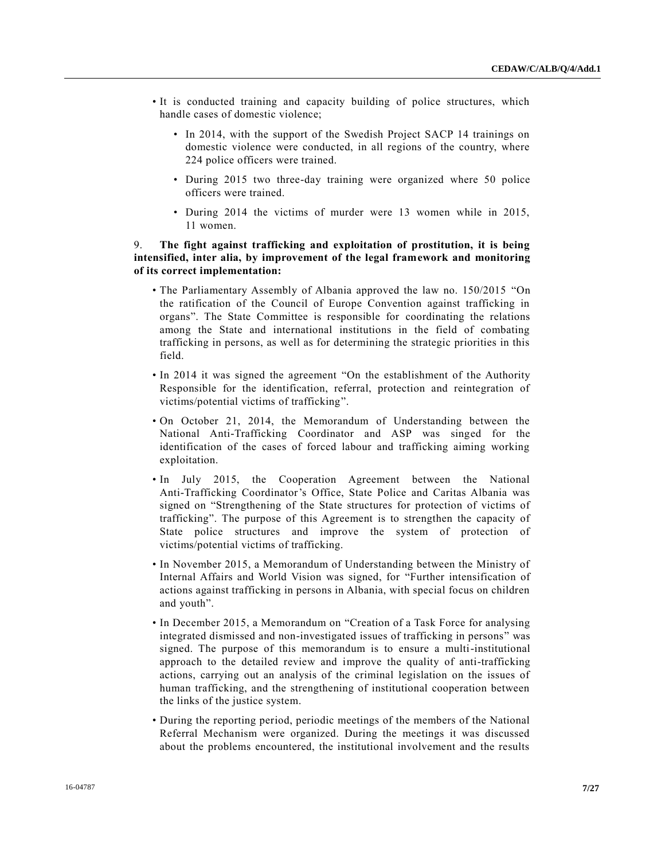- It is conducted training and capacity building of police structures, which handle cases of domestic violence;
	- In 2014, with the support of the Swedish Project SACP 14 trainings on domestic violence were conducted, in all regions of the country, where 224 police officers were trained.
	- During 2015 two three-day training were organized where 50 police officers were trained.
	- During 2014 the victims of murder were 13 women while in 2015, 11 women.

# 9. **The fight against trafficking and exploitation of prostitution, it is being intensified, inter alia, by improvement of the legal framework and monitoring of its correct implementation:**

- The Parliamentary Assembly of Albania approved the law no. 150/2015 "On the ratification of the Council of Europe Convention against trafficking in organs". The State Committee is responsible for coordinating the relations among the State and international institutions in the field of combating trafficking in persons, as well as for determining the strategic priorities in this field.
- In 2014 it was signed the agreement "On the establishment of the Authority Responsible for the identification, referral, protection and reintegration of victims/potential victims of trafficking".
- On October 21, 2014, the Memorandum of Understanding between the National Anti-Trafficking Coordinator and ASP was singed for the identification of the cases of forced labour and trafficking aiming working exploitation.
- In July 2015, the Cooperation Agreement between the National Anti-Trafficking Coordinator's Office, State Police and Caritas Albania was signed on "Strengthening of the State structures for protection of victims of trafficking". The purpose of this Agreement is to strengthen the capacity of State police structures and improve the system of protection of victims/potential victims of trafficking.
- In November 2015, a Memorandum of Understanding between the Ministry of Internal Affairs and World Vision was signed, for "Further intensification of actions against trafficking in persons in Albania, with special focus on children and youth".
- In December 2015, a Memorandum on "Creation of a Task Force for analysing integrated dismissed and non-investigated issues of trafficking in persons" was signed. The purpose of this memorandum is to ensure a multi-institutional approach to the detailed review and improve the quality of anti-trafficking actions, carrying out an analysis of the criminal legislation on the issues of human trafficking, and the strengthening of institutional cooperation between the links of the justice system.
- During the reporting period, periodic meetings of the members of the National Referral Mechanism were organized. During the meetings it was discussed about the problems encountered, the institutional involvement and the results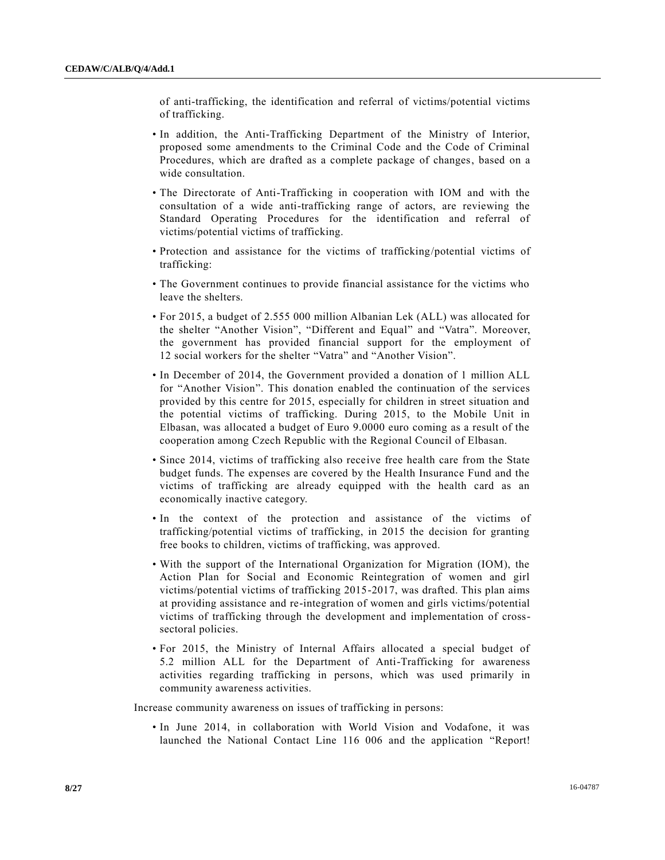of anti-trafficking, the identification and referral of victims/potential victims of trafficking.

- In addition, the Anti-Trafficking Department of the Ministry of Interior, proposed some amendments to the Criminal Code and the Code of Criminal Procedures, which are drafted as a complete package of changes, based on a wide consultation.
- The Directorate of Anti-Trafficking in cooperation with IOM and with the consultation of a wide anti-trafficking range of actors, are reviewing the Standard Operating Procedures for the identification and referral of victims/potential victims of trafficking.
- Protection and assistance for the victims of trafficking/potential victims of trafficking:
- The Government continues to provide financial assistance for the victims who leave the shelters.
- For 2015, a budget of 2.555 000 million Albanian Lek (ALL) was allocated for the shelter "Another Vision", "Different and Equal" and "Vatra". Moreover, the government has provided financial support for the employment of 12 social workers for the shelter "Vatra" and "Another Vision".
- In December of 2014, the Government provided a donation of 1 million ALL for "Another Vision". This donation enabled the continuation of the services provided by this centre for 2015, especially for children in street situation and the potential victims of trafficking. During 2015, to the Mobile Unit in Elbasan, was allocated a budget of Euro 9.0000 euro coming as a result of the cooperation among Czech Republic with the Regional Council of Elbasan.
- Since 2014, victims of trafficking also receive free health care from the State budget funds. The expenses are covered by the Health Insurance Fund and the victims of trafficking are already equipped with the health card as an economically inactive category.
- In the context of the protection and assistance of the victims of trafficking/potential victims of trafficking, in 2015 the decision for granting free books to children, victims of trafficking, was approved.
- With the support of the International Organization for Migration (IOM), the Action Plan for Social and Economic Reintegration of women and girl victims/potential victims of trafficking 2015-2017, was drafted. This plan aims at providing assistance and re-integration of women and girls victims/potential victims of trafficking through the development and implementation of crosssectoral policies.
- For 2015, the Ministry of Internal Affairs allocated a special budget of 5.2 million ALL for the Department of Anti-Trafficking for awareness activities regarding trafficking in persons, which was used primarily in community awareness activities.

Increase community awareness on issues of trafficking in persons:

• In June 2014, in collaboration with World Vision and Vodafone, it was launched the National Contact Line 116 006 and the application "Report!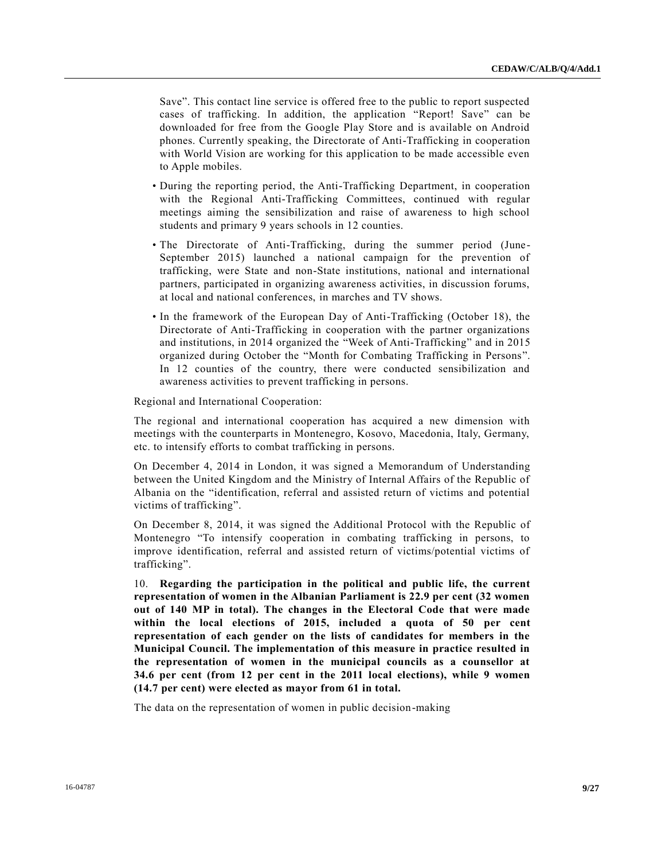Save". This contact line service is offered free to the public to report suspected cases of trafficking. In addition, the application "Report! Save" can be downloaded for free from the Google Play Store and is available on Android phones. Currently speaking, the Directorate of Anti-Trafficking in cooperation with World Vision are working for this application to be made accessible even to Apple mobiles.

- During the reporting period, the Anti-Trafficking Department, in cooperation with the Regional Anti-Trafficking Committees, continued with regular meetings aiming the sensibilization and raise of awareness to high school students and primary 9 years schools in 12 counties.
- The Directorate of Anti-Trafficking, during the summer period (June-September 2015) launched a national campaign for the prevention of trafficking, were State and non-State institutions, national and international partners, participated in organizing awareness activities, in discussion forums, at local and national conferences, in marches and TV shows.
- In the framework of the European Day of Anti-Trafficking (October 18), the Directorate of Anti-Trafficking in cooperation with the partner organizations and institutions, in 2014 organized the "Week of Anti-Trafficking" and in 2015 organized during October the "Month for Combating Trafficking in Persons". In 12 counties of the country, there were conducted sensibilization and awareness activities to prevent trafficking in persons.

Regional and International Cooperation:

The regional and international cooperation has acquired a new dimension with meetings with the counterparts in Montenegro, Kosovo, Macedonia, Italy, Germany, etc. to intensify efforts to combat trafficking in persons.

On December 4, 2014 in London, it was signed a Memorandum of Understanding between the United Kingdom and the Ministry of Internal Affairs of the Republic of Albania on the "identification, referral and assisted return of victims and potential victims of trafficking".

On December 8, 2014, it was signed the Additional Protocol with the Republic of Montenegro "To intensify cooperation in combating trafficking in persons, to improve identification, referral and assisted return of victims/potential victims of trafficking".

10. **Regarding the participation in the political and public life, the current representation of women in the Albanian Parliament is 22.9 per cent (32 women out of 140 MP in total). The changes in the Electoral Code that were made within the local elections of 2015, included a quota of 50 per cent representation of each gender on the lists of candidates for members in the Municipal Council. The implementation of this measure in practice resulted in the representation of women in the municipal councils as a counsellor at 34.6 per cent (from 12 per cent in the 2011 local elections), while 9 women (14.7 per cent) were elected as mayor from 61 in total.**

The data on the representation of women in public decision-making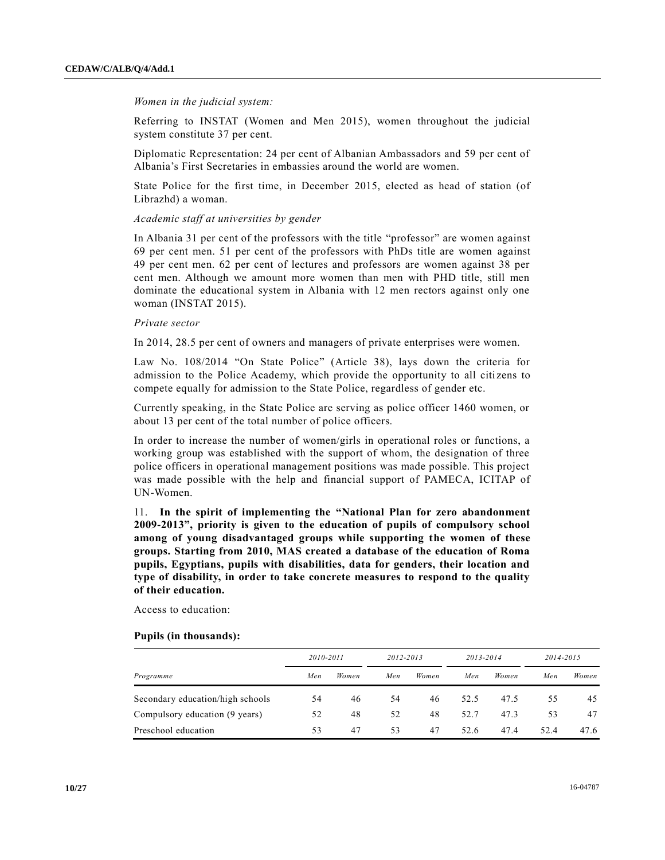#### *Women in the judicial system:*

Referring to INSTAT (Women and Men 2015), women throughout the judicial system constitute 37 per cent.

Diplomatic Representation: 24 per cent of Albanian Ambassadors and 59 per cent of Albania's First Secretaries in embassies around the world are women.

State Police for the first time, in December 2015, elected as head of station (of Librazhd) a woman.

#### *Academic staff at universities by gender*

In Albania 31 per cent of the professors with the title "professor" are women against 69 per cent men. 51 per cent of the professors with PhDs title are women against 49 per cent men. 62 per cent of lectures and professors are women against 38 per cent men. Although we amount more women than men with PHD title, still men dominate the educational system in Albania with 12 men rectors against only one woman (INSTAT 2015).

#### *Private sector*

In 2014, 28.5 per cent of owners and managers of private enterprises were women.

Law No. 108/2014 "On State Police" (Article 38), lays down the criteria for admission to the Police Academy, which provide the opportunity to all citizens to compete equally for admission to the State Police, regardless of gender etc.

Currently speaking, in the State Police are serving as police officer 1460 women, or about 13 per cent of the total number of police officers.

In order to increase the number of women/girls in operational roles or functions, a working group was established with the support of whom, the designation of three police officers in operational management positions was made possible. This project was made possible with the help and financial support of PAMECA, ICITAP of UN-Women.

11. **In the spirit of implementing the "National Plan for zero abandonment 2009-2013", priority is given to the education of pupils of compulsory school among of young disadvantaged groups while supporting the women of these groups. Starting from 2010, MAS created a database of the education of Roma pupils, Egyptians, pupils with disabilities, data for genders, their location and type of disability, in order to take concrete measures to respond to the quality of their education.**

Access to education:

#### **Pupils (in thousands):**

|                                  | 2010-2011 |       | 2012-2013 |       | 2013-2014 |       | 2014-2015 |       |
|----------------------------------|-----------|-------|-----------|-------|-----------|-------|-----------|-------|
| Programme                        | Men       | Women | Men       | Women | Men       | Women | Men       | Women |
| Secondary education/high schools | 54        | 46    | 54        | 46    | 52.5      | 47.5  | 55        | 45    |
| Compulsory education (9 years)   | 52        | 48    | 52        | 48    | 52.7      | 47.3  | 53        | 47    |
| Preschool education              | 53        | 47    | 53        | 47    | 52.6      | 47.4  | 52.4      | 47.6  |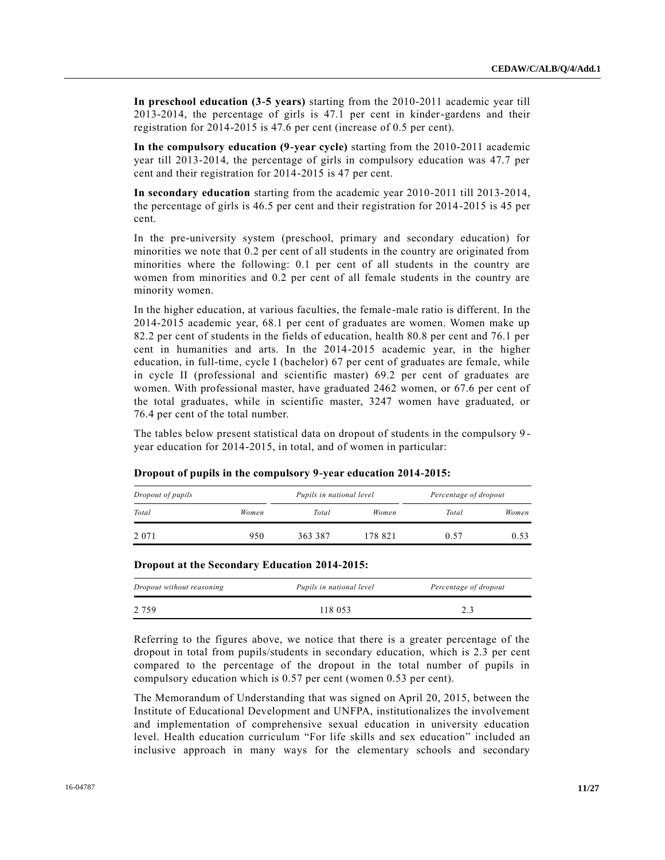**In preschool education (3-5 years)** starting from the 2010-2011 academic year till 2013-2014, the percentage of girls is 47.1 per cent in kinder-gardens and their registration for 2014-2015 is 47.6 per cent (increase of 0.5 per cent).

**In the compulsory education (9-year cycle)** starting from the 2010-2011 academic year till 2013-2014, the percentage of girls in compulsory education was 47.7 per cent and their registration for 2014-2015 is 47 per cent.

**In secondary education** starting from the academic year 2010-2011 till 2013-2014, the percentage of girls is 46.5 per cent and their registration for 2014-2015 is 45 per cent.

In the pre-university system (preschool, primary and secondary education) for minorities we note that 0.2 per cent of all students in the country are originated from minorities where the following: 0.1 per cent of all students in the country are women from minorities and 0.2 per cent of all female students in the country are minority women.

In the higher education, at various faculties, the female-male ratio is different. In the 2014-2015 academic year, 68.1 per cent of graduates are women. Women make up 82.2 per cent of students in the fields of education, health 80.8 per cent and 76.1 per cent in humanities and arts. In the 2014-2015 academic year, in the higher education, in full-time, cycle I (bachelor) 67 per cent of graduates are female, while in cycle II (professional and scientific master) 69.2 per cent of graduates are women. With professional master, have graduated 2462 women, or 67.6 per cent of the total graduates, while in scientific master, 3247 women have graduated, or 76.4 per cent of the total number.

The tables below present statistical data on dropout of students in the compulsory 9 year education for 2014-2015, in total, and of women in particular:

| Dropout of pupils |       | Pupils in national level |         | Percentage of dropout |       |
|-------------------|-------|--------------------------|---------|-----------------------|-------|
| Total             | Women | Total                    | Women   | Total                 | Women |
| 2 0 7 1           | 950   | 363 387                  | 178 821 | 0.57                  | 0.53  |

**Dropout of pupils in the compulsory 9-year education 2014-2015:**

| Dropout at the Secondary Education 2014-2015: |  |  |
|-----------------------------------------------|--|--|
|-----------------------------------------------|--|--|

| Dropout without reasoning | Pupils in national level | Percentage of dropout |
|---------------------------|--------------------------|-----------------------|
| 2 7 5 9                   | 118 053                  | 2.3                   |

Referring to the figures above, we notice that there is a greater percentage of the dropout in total from pupils/students in secondary education, which is 2.3 per cent compared to the percentage of the dropout in the total number of pupils in compulsory education which is 0.57 per cent (women 0.53 per cent).

The Memorandum of Understanding that was signed on April 20, 2015, between the Institute of Educational Development and UNFPA, institutionalizes the involvement and implementation of comprehensive sexual education in university education level. Health education curriculum "For life skills and sex education" included an inclusive approach in many ways for the elementary schools and secondary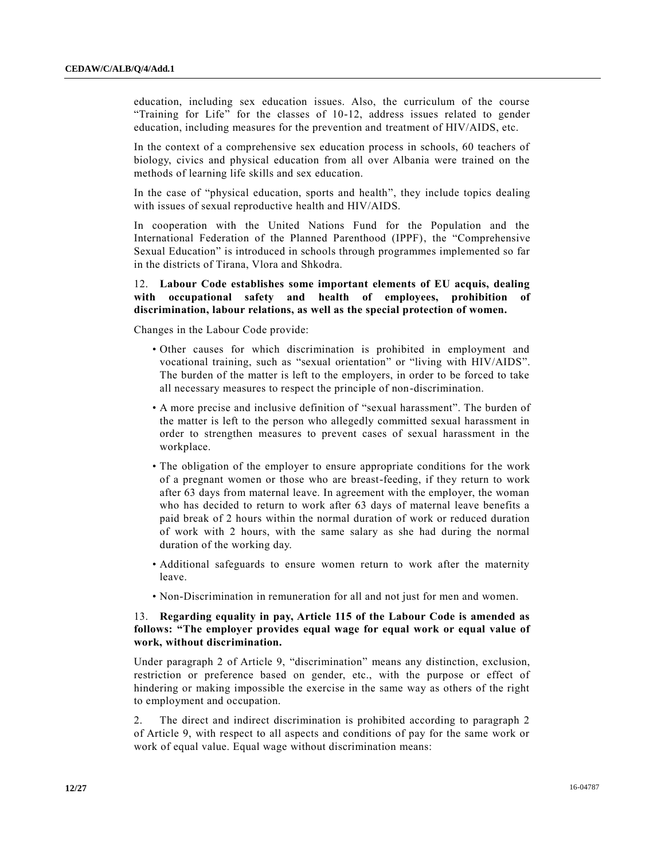education, including sex education issues. Also, the curriculum of the course "Training for Life" for the classes of 10-12, address issues related to gender education, including measures for the prevention and treatment of HIV/AIDS, etc.

In the context of a comprehensive sex education process in schools, 60 teachers of biology, civics and physical education from all over Albania were trained on the methods of learning life skills and sex education.

In the case of "physical education, sports and health", they include topics dealing with issues of sexual reproductive health and HIV/AIDS.

In cooperation with the United Nations Fund for the Population and the International Federation of the Planned Parenthood (IPPF), the "Comprehensive Sexual Education" is introduced in schools through programmes implemented so far in the districts of Tirana, Vlora and Shkodra.

# 12. **Labour Code establishes some important elements of EU acquis, dealing with occupational safety and health of employees, prohibition of discrimination, labour relations, as well as the special protection of women.**

Changes in the Labour Code provide:

- Other causes for which discrimination is prohibited in employment and vocational training, such as "sexual orientation" or "living with HIV/AIDS". The burden of the matter is left to the employers, in order to be forced to take all necessary measures to respect the principle of non-discrimination.
- A more precise and inclusive definition of "sexual harassment". The burden of the matter is left to the person who allegedly committed sexual harassment in order to strengthen measures to prevent cases of sexual harassment in the workplace.
- The obligation of the employer to ensure appropriate conditions for the work of a pregnant women or those who are breast-feeding, if they return to work after 63 days from maternal leave. In agreement with the employer, the woman who has decided to return to work after 63 days of maternal leave benefits a paid break of 2 hours within the normal duration of work or reduced duration of work with 2 hours, with the same salary as she had during the normal duration of the working day.
- Additional safeguards to ensure women return to work after the maternity leave.
- Non-Discrimination in remuneration for all and not just for men and women.

# 13. **Regarding equality in pay, Article 115 of the Labour Code is amended as follows: "The employer provides equal wage for equal work or equal value of work, without discrimination.**

Under paragraph 2 of Article 9, "discrimination" means any distinction, exclusion, restriction or preference based on gender, etc., with the purpose or effect of hindering or making impossible the exercise in the same way as others of the right to employment and occupation.

2. The direct and indirect discrimination is prohibited according to paragraph 2 of Article 9, with respect to all aspects and conditions of pay for the same work or work of equal value. Equal wage without discrimination means: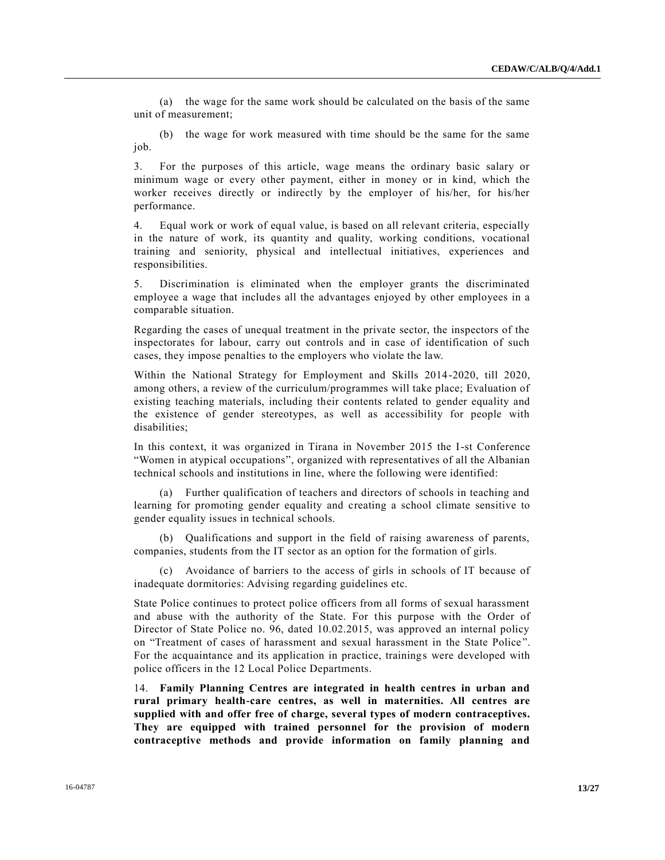(a) the wage for the same work should be calculated on the basis of the same unit of measurement;

(b) the wage for work measured with time should be the same for the same job.

3. For the purposes of this article, wage means the ordinary basic salary or minimum wage or every other payment, either in money or in kind, which the worker receives directly or indirectly by the employer of his/her, for his/her performance.

4. Equal work or work of equal value, is based on all relevant criteria, especially in the nature of work, its quantity and quality, working conditions, vocational training and seniority, physical and intellectual initiatives, experiences and responsibilities.

5. Discrimination is eliminated when the employer grants the discriminated employee a wage that includes all the advantages enjoyed by other employees in a comparable situation.

Regarding the cases of unequal treatment in the private sector, the inspectors of the inspectorates for labour, carry out controls and in case of identification of such cases, they impose penalties to the employers who violate the law.

Within the National Strategy for Employment and Skills 2014-2020, till 2020, among others, a review of the curriculum/programmes will take place; Evaluation of existing teaching materials, including their contents related to gender equality and the existence of gender stereotypes, as well as accessibility for people with disabilities;

In this context, it was organized in Tirana in November 2015 the I-st Conference "Women in atypical occupations", organized with representatives of all the Albanian technical schools and institutions in line, where the following were identified:

(a) Further qualification of teachers and directors of schools in teaching and learning for promoting gender equality and creating a school climate sensitive to gender equality issues in technical schools.

(b) Qualifications and support in the field of raising awareness of parents, companies, students from the IT sector as an option for the formation of girls.

(c) Avoidance of barriers to the access of girls in schools of IT because of inadequate dormitories: Advising regarding guidelines etc.

State Police continues to protect police officers from all forms of sexual harassment and abuse with the authority of the State. For this purpose with the Order of Director of State Police no. 96, dated 10.02.2015, was approved an internal policy on "Treatment of cases of harassment and sexual harassment in the State Police ". For the acquaintance and its application in practice, trainings were developed with police officers in the 12 Local Police Departments.

14. **Family Planning Centres are integrated in health centres in urban and rural primary health-care centres, as well in maternities. All centres are supplied with and offer free of charge, several types of modern contraceptives. They are equipped with trained personnel for the provision of modern contraceptive methods and provide information on family planning and**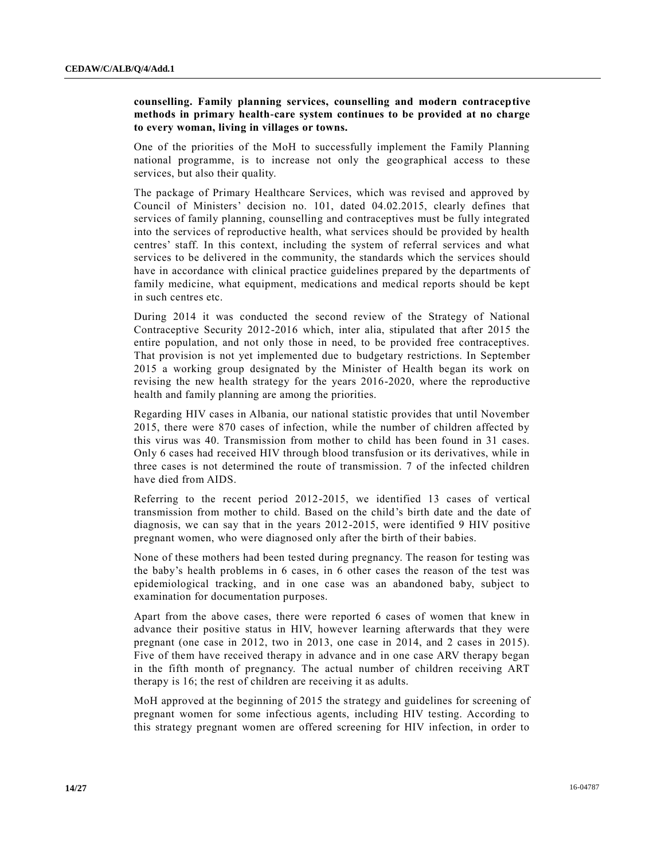# **counselling. Family planning services, counselling and modern contraceptive methods in primary health-care system continues to be provided at no charge to every woman, living in villages or towns.**

One of the priorities of the MoH to successfully implement the Family Planning national programme, is to increase not only the geographical access to these services, but also their quality.

The package of Primary Healthcare Services, which was revised and approved by Council of Ministers' decision no. 101, dated 04.02.2015, clearly defines that services of family planning, counselling and contraceptives must be fully integrated into the services of reproductive health, what services should be provided by health centres' staff. In this context, including the system of referral services and what services to be delivered in the community, the standards which the services should have in accordance with clinical practice guidelines prepared by the departments of family medicine, what equipment, medications and medical reports should be kept in such centres etc.

During 2014 it was conducted the second review of the Strategy of National Contraceptive Security 2012-2016 which, inter alia, stipulated that after 2015 the entire population, and not only those in need, to be provided free contraceptives. That provision is not yet implemented due to budgetary restrictions. In September 2015 a working group designated by the Minister of Health began its work on revising the new health strategy for the years 2016-2020, where the reproductive health and family planning are among the priorities.

Regarding HIV cases in Albania, our national statistic provides that until November 2015, there were 870 cases of infection, while the number of children affected by this virus was 40. Transmission from mother to child has been found in 31 cases. Only 6 cases had received HIV through blood transfusion or its derivatives, while in three cases is not determined the route of transmission. 7 of the infected children have died from AIDS.

Referring to the recent period 2012-2015, we identified 13 cases of vertical transmission from mother to child. Based on the child's birth date and the date of diagnosis, we can say that in the years 2012-2015, were identified 9 HIV positive pregnant women, who were diagnosed only after the birth of their babies.

None of these mothers had been tested during pregnancy. The reason for testing was the baby's health problems in 6 cases, in 6 other cases the reason of the test was epidemiological tracking, and in one case was an abandoned baby, subject to examination for documentation purposes.

Apart from the above cases, there were reported 6 cases of women that knew in advance their positive status in HIV, however learning afterwards that they were pregnant (one case in 2012, two in 2013, one case in 2014, and 2 cases in 2015). Five of them have received therapy in advance and in one case ARV therapy began in the fifth month of pregnancy. The actual number of children receiving ART therapy is 16; the rest of children are receiving it as adults.

MoH approved at the beginning of 2015 the strategy and guidelines for screening of pregnant women for some infectious agents, including HIV testing. According to this strategy pregnant women are offered screening for HIV infection, in order to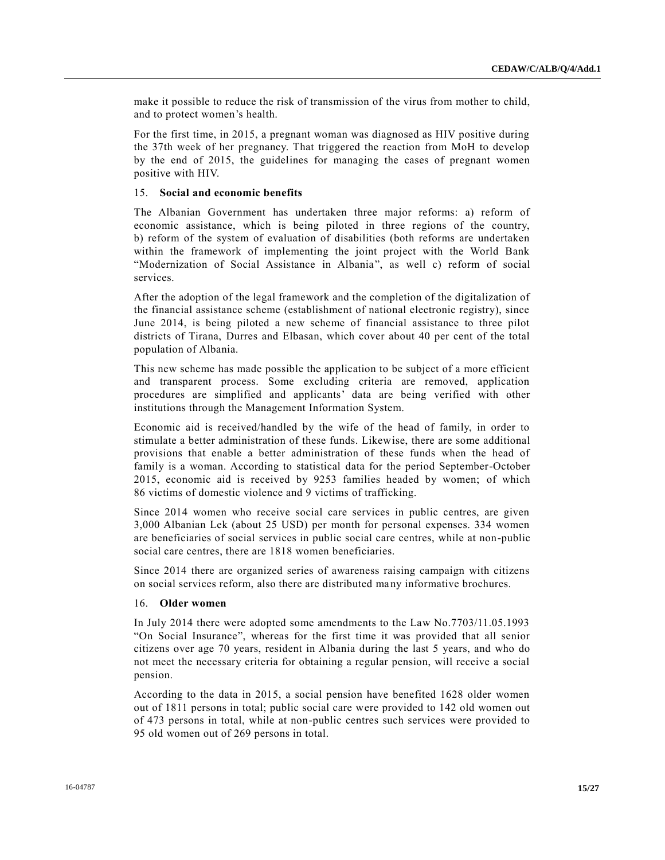make it possible to reduce the risk of transmission of the virus from mother to child, and to protect women's health.

For the first time, in 2015, a pregnant woman was diagnosed as HIV positive during the 37th week of her pregnancy. That triggered the reaction from MoH to develop by the end of 2015, the guidelines for managing the cases of pregnant women positive with HIV.

#### 15. **Social and economic benefits**

The Albanian Government has undertaken three major reforms: a) reform of economic assistance, which is being piloted in three regions of the country, b) reform of the system of evaluation of disabilities (both reforms are undertaken within the framework of implementing the joint project with the World Bank "Modernization of Social Assistance in Albania", as well c) reform of social services.

After the adoption of the legal framework and the completion of the digitalization of the financial assistance scheme (establishment of national electronic registry), since June 2014, is being piloted a new scheme of financial assistance to three pilot districts of Tirana, Durres and Elbasan, which cover about 40 per cent of the total population of Albania.

This new scheme has made possible the application to be subject of a more efficient and transparent process. Some excluding criteria are removed, application procedures are simplified and applicants' data are being verified with other institutions through the Management Information System.

Economic aid is received/handled by the wife of the head of family, in order to stimulate a better administration of these funds. Likewise, there are some additional provisions that enable a better administration of these funds when the head of family is a woman. According to statistical data for the period September-October 2015, economic aid is received by 9253 families headed by women; of which 86 victims of domestic violence and 9 victims of trafficking.

Since 2014 women who receive social care services in public centres, are given 3,000 Albanian Lek (about 25 USD) per month for personal expenses. 334 women are beneficiaries of social services in public social care centres, while at non-public social care centres, there are 1818 women beneficiaries.

Since 2014 there are organized series of awareness raising campaign with citizens on social services reform, also there are distributed many informative brochures.

# 16. **Older women**

In July 2014 there were adopted some amendments to the Law No.7703/11.05.1993 "On Social Insurance", whereas for the first time it was provided that all senior citizens over age 70 years, resident in Albania during the last 5 years, and who do not meet the necessary criteria for obtaining a regular pension, will receive a social pension.

According to the data in 2015, a social pension have benefited 1628 older women out of 1811 persons in total; public social care were provided to 142 old women out of 473 persons in total, while at non-public centres such services were provided to 95 old women out of 269 persons in total.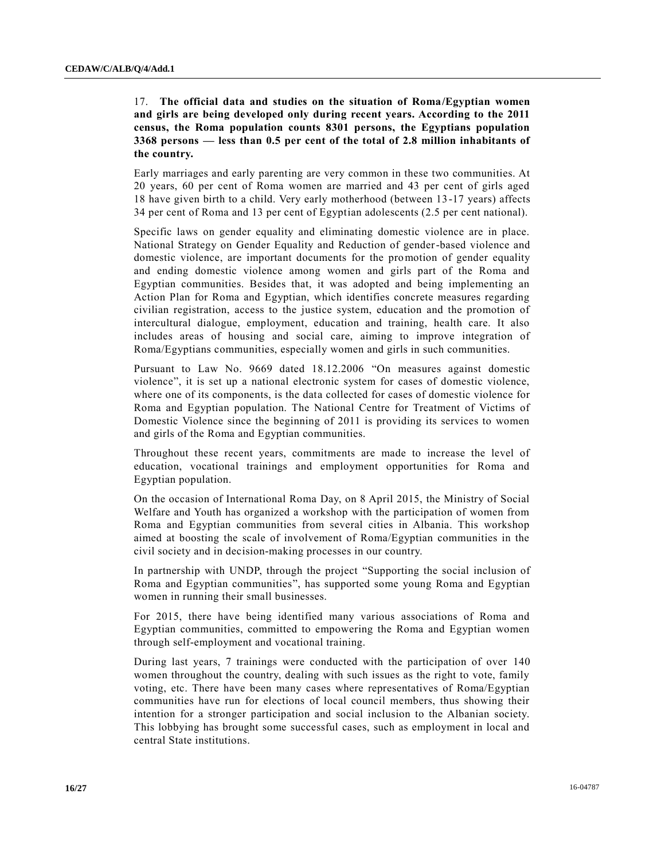# 17. **The official data and studies on the situation of Roma/Egyptian women and girls are being developed only during recent years. According to the 2011 census, the Roma population counts 8301 persons, the Egyptians population 3368 persons — less than 0.5 per cent of the total of 2.8 million inhabitants of the country.**

Early marriages and early parenting are very common in these two communities. At 20 years, 60 per cent of Roma women are married and 43 per cent of girls aged 18 have given birth to a child. Very early motherhood (between 13-17 years) affects 34 per cent of Roma and 13 per cent of Egyptian adolescents (2.5 per cent national).

Specific laws on gender equality and eliminating domestic violence are in place. National Strategy on Gender Equality and Reduction of gender-based violence and domestic violence, are important documents for the promotion of gender equality and ending domestic violence among women and girls part of the Roma and Egyptian communities. Besides that, it was adopted and being implementing an Action Plan for Roma and Egyptian, which identifies concrete measures regarding civilian registration, access to the justice system, education and the promotion of intercultural dialogue, employment, education and training, health care. It also includes areas of housing and social care, aiming to improve integration of Roma/Egyptians communities, especially women and girls in such communities.

Pursuant to Law No. 9669 dated 18.12.2006 "On measures against domestic violence", it is set up a national electronic system for cases of domestic violence, where one of its components, is the data collected for cases of domestic violence for Roma and Egyptian population. The National Centre for Treatment of Victims of Domestic Violence since the beginning of 2011 is providing its services to women and girls of the Roma and Egyptian communities.

Throughout these recent years, commitments are made to increase the level of education, vocational trainings and employment opportunities for Roma and Egyptian population.

On the occasion of International Roma Day, on 8 April 2015, the Ministry of Social Welfare and Youth has organized a workshop with the participation of women from Roma and Egyptian communities from several cities in Albania. This workshop aimed at boosting the scale of involvement of Roma/Egyptian communities in the civil society and in decision-making processes in our country.

In partnership with UNDP, through the project "Supporting the social inclusion of Roma and Egyptian communities", has supported some young Roma and Egyptian women in running their small businesses.

For 2015, there have being identified many various associations of Roma and Egyptian communities, committed to empowering the Roma and Egyptian women through self-employment and vocational training.

During last years, 7 trainings were conducted with the participation of over 140 women throughout the country, dealing with such issues as the right to vote, family voting, etc. There have been many cases where representatives of Roma/Egyptian communities have run for elections of local council members, thus showing their intention for a stronger participation and social inclusion to the Albanian society. This lobbying has brought some successful cases, such as employment in local and central State institutions.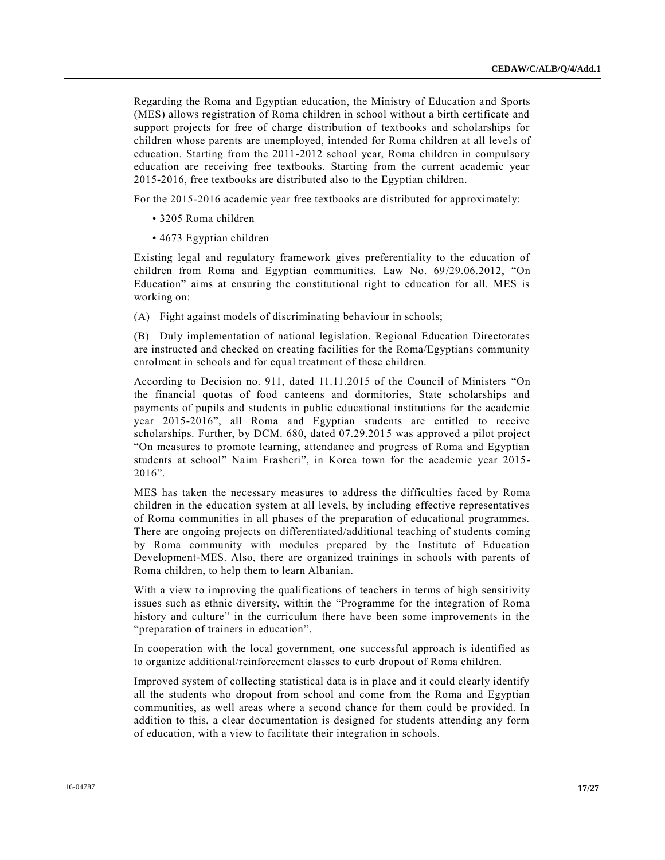Regarding the Roma and Egyptian education, the Ministry of Education and Sports (MES) allows registration of Roma children in school without a birth certificate and support projects for free of charge distribution of textbooks and scholarships for children whose parents are unemployed, intended for Roma children at all levels of education. Starting from the 2011-2012 school year, Roma children in compulsory education are receiving free textbooks. Starting from the current academic year 2015-2016, free textbooks are distributed also to the Egyptian children.

For the 2015-2016 academic year free textbooks are distributed for approximately:

- 3205 Roma children
- 4673 Egyptian children

Existing legal and regulatory framework gives preferentiality to the education of children from Roma and Egyptian communities. Law No. 69/29.06.2012, "On Education" aims at ensuring the constitutional right to education for all. MES is working on:

(A) Fight against models of discriminating behaviour in schools;

(B) Duly implementation of national legislation. Regional Education Directorates are instructed and checked on creating facilities for the Roma/Egyptians community enrolment in schools and for equal treatment of these children.

According to Decision no. 911, dated 11.11.2015 of the Council of Ministers "On the financial quotas of food canteens and dormitories, State scholarships and payments of pupils and students in public educational institutions for the academic year 2015-2016", all Roma and Egyptian students are entitled to receive scholarships. Further, by DCM. 680, dated 07.29.2015 was approved a pilot project "On measures to promote learning, attendance and progress of Roma and Egyptian students at school" Naim Frasheri", in Korca town for the academic year 2015- 2016".

MES has taken the necessary measures to address the difficulties faced by Roma children in the education system at all levels, by including effective representatives of Roma communities in all phases of the preparation of educational programmes. There are ongoing projects on differentiated/additional teaching of students coming by Roma community with modules prepared by the Institute of Education Development-MES. Also, there are organized trainings in schools with parents of Roma children, to help them to learn Albanian.

With a view to improving the qualifications of teachers in terms of high sensitivity issues such as ethnic diversity, within the "Programme for the integration of Roma history and culture" in the curriculum there have been some improvements in the "preparation of trainers in education".

In cooperation with the local government, one successful approach is identified as to organize additional/reinforcement classes to curb dropout of Roma children.

Improved system of collecting statistical data is in place and it could clearly identify all the students who dropout from school and come from the Roma and Egyptian communities, as well areas where a second chance for them could be provided. In addition to this, a clear documentation is designed for students attending any form of education, with a view to facilitate their integration in schools.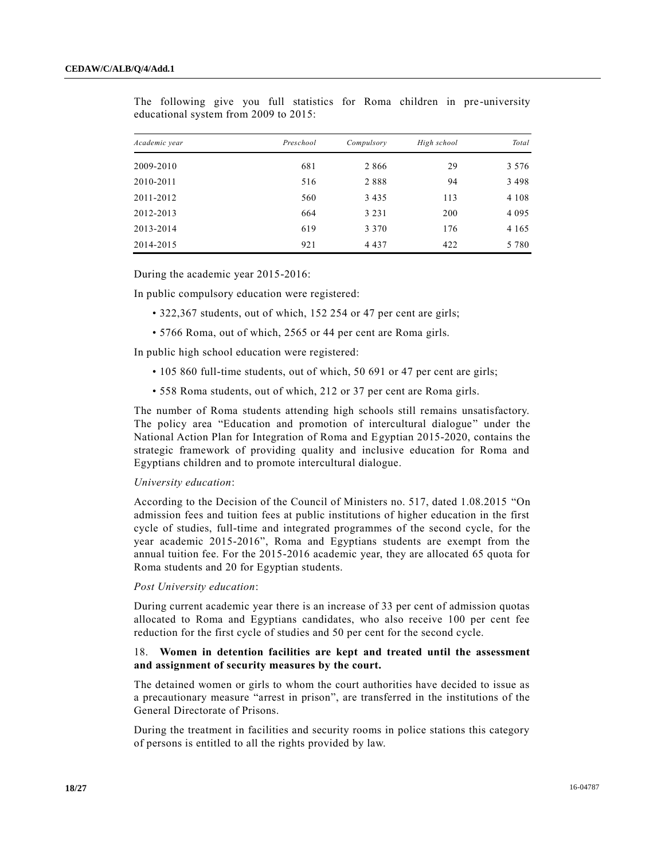| Academic year | Preschool | Compulsory | High school | Total   |
|---------------|-----------|------------|-------------|---------|
| 2009-2010     | 681       | 2866       | 29          | 3 5 7 6 |
| 2010-2011     | 516       | 2888       | 94          | 3 4 9 8 |
| 2011-2012     | 560       | 3 4 3 5    | 113         | 4 1 0 8 |
| 2012-2013     | 664       | 3 2 3 1    | 200         | 4 0 9 5 |
| 2013-2014     | 619       | 3 3 7 0    | 176         | 4 1 6 5 |
| 2014-2015     | 921       | 4 4 3 7    | 422         | 5 7 8 0 |

The following give you full statistics for Roma children in pre-university educational system from 2009 to 2015:

During the academic year 2015-2016:

In public compulsory education were registered:

- 322,367 students, out of which, 152 254 or 47 per cent are girls;
- 5766 Roma, out of which, 2565 or 44 per cent are Roma girls.

In public high school education were registered:

- 105 860 full-time students, out of which, 50 691 or 47 per cent are girls;
- 558 Roma students, out of which, 212 or 37 per cent are Roma girls.

The number of Roma students attending high schools still remains unsatisfactory. The policy area "Education and promotion of intercultural dialogue" under the National Action Plan for Integration of Roma and Egyptian 2015-2020, contains the strategic framework of providing quality and inclusive education for Roma and Egyptians children and to promote intercultural dialogue.

#### *University education*:

According to the Decision of the Council of Ministers no. 517, dated 1.08.2015 "On admission fees and tuition fees at public institutions of higher education in the first cycle of studies, full-time and integrated programmes of the second cycle, for the year academic 2015-2016", Roma and Egyptians students are exempt from the annual tuition fee. For the 2015-2016 academic year, they are allocated 65 quota for Roma students and 20 for Egyptian students.

#### *Post University education*:

During current academic year there is an increase of 33 per cent of admission quotas allocated to Roma and Egyptians candidates, who also receive 100 per cent fee reduction for the first cycle of studies and 50 per cent for the second cycle.

### 18. **Women in detention facilities are kept and treated until the assessment and assignment of security measures by the court.**

The detained women or girls to whom the court authorities have decided to issue as a precautionary measure "arrest in prison", are transferred in the institutions of the General Directorate of Prisons.

During the treatment in facilities and security rooms in police stations this category of persons is entitled to all the rights provided by law.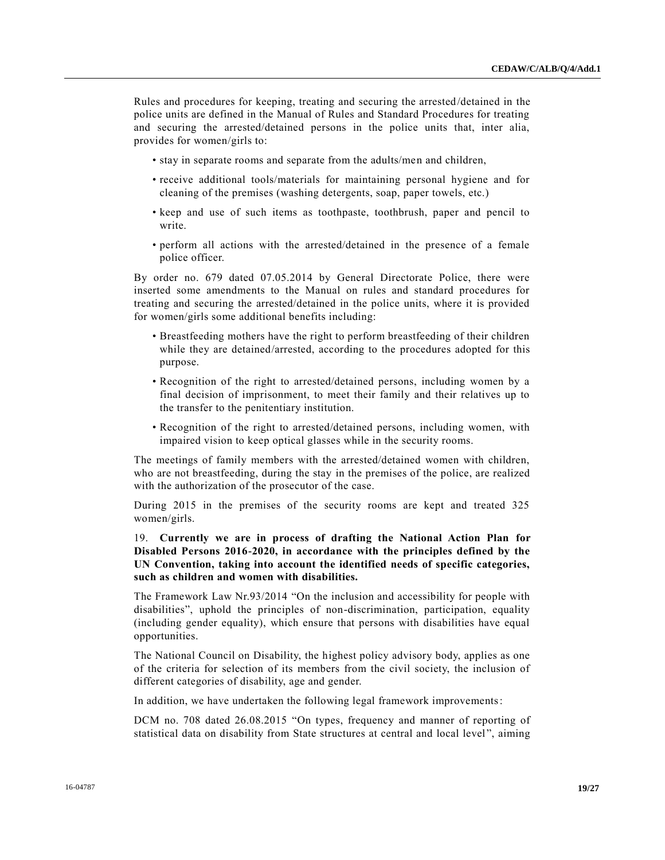Rules and procedures for keeping, treating and securing the arrested/detained in the police units are defined in the Manual of Rules and Standard Procedures for treating and securing the arrested/detained persons in the police units that, inter alia, provides for women/girls to:

- stay in separate rooms and separate from the adults/men and children,
- receive additional tools/materials for maintaining personal hygiene and for cleaning of the premises (washing detergents, soap, paper towels, etc.)
- keep and use of such items as toothpaste, toothbrush, paper and pencil to write.
- perform all actions with the arrested/detained in the presence of a female police officer.

By order no. 679 dated 07.05.2014 by General Directorate Police, there were inserted some amendments to the Manual on rules and standard procedures for treating and securing the arrested/detained in the police units, where it is provided for women/girls some additional benefits including:

- Breastfeeding mothers have the right to perform breastfeeding of their children while they are detained/arrested, according to the procedures adopted for this purpose.
- Recognition of the right to arrested/detained persons, including women by a final decision of imprisonment, to meet their family and their relatives up to the transfer to the penitentiary institution.
- Recognition of the right to arrested/detained persons, including women, with impaired vision to keep optical glasses while in the security rooms.

The meetings of family members with the arrested/detained women with children, who are not breastfeeding, during the stay in the premises of the police, are realized with the authorization of the prosecutor of the case.

During 2015 in the premises of the security rooms are kept and treated 325 women/girls.

19. **Currently we are in process of drafting the National Action Plan for Disabled Persons 2016-2020, in accordance with the principles defined by the UN Convention, taking into account the identified needs of specific categories, such as children and women with disabilities.**

The Framework Law Nr.93/2014 "On the inclusion and accessibility for people with disabilities", uphold the principles of non-discrimination, participation, equality (including gender equality), which ensure that persons with disabilities have equal opportunities.

The National Council on Disability, the highest policy advisory body, applies as one of the criteria for selection of its members from the civil society, the inclusion of different categories of disability, age and gender.

In addition, we have undertaken the following legal framework improvements:

DCM no. 708 dated 26.08.2015 "On types, frequency and manner of reporting of statistical data on disability from State structures at central and local level", aiming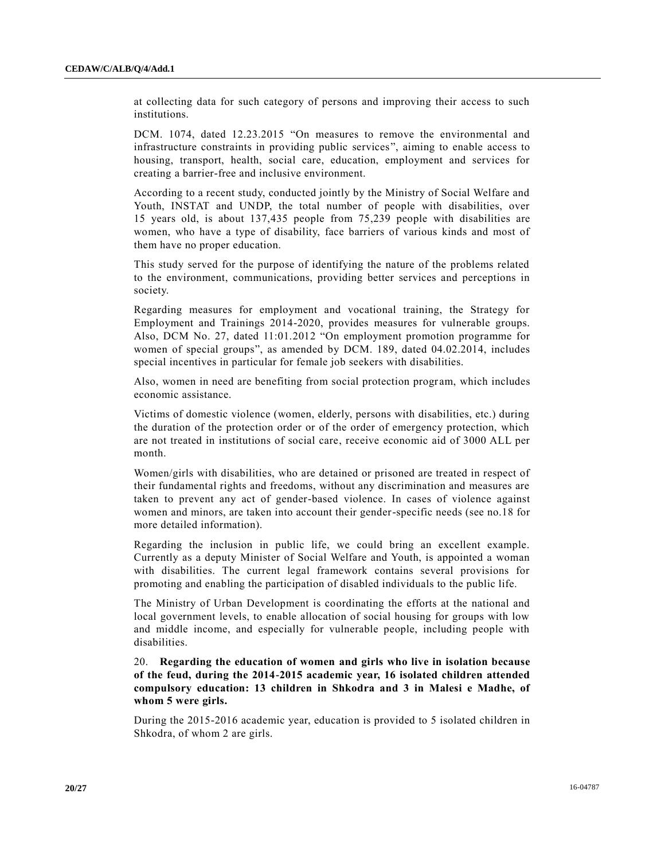at collecting data for such category of persons and improving their access to such institutions.

DCM. 1074, dated 12.23.2015 "On measures to remove the environmental and infrastructure constraints in providing public services", aiming to enable access to housing, transport, health, social care, education, employment and services for creating a barrier-free and inclusive environment.

According to a recent study, conducted jointly by the Ministry of Social Welfare and Youth, INSTAT and UNDP, the total number of people with disabilities, over 15 years old, is about 137,435 people from 75,239 people with disabilities are women, who have a type of disability, face barriers of various kinds and most of them have no proper education.

This study served for the purpose of identifying the nature of the problems related to the environment, communications, providing better services and perceptions in society.

Regarding measures for employment and vocational training, the Strategy for Employment and Trainings 2014-2020, provides measures for vulnerable groups. Also, DCM No. 27, dated 11:01.2012 "On employment promotion programme for women of special groups", as amended by DCM. 189, dated 04.02.2014, includes special incentives in particular for female job seekers with disabilities.

Also, women in need are benefiting from social protection program, which includes economic assistance.

Victims of domestic violence (women, elderly, persons with disabilities, etc.) during the duration of the protection order or of the order of emergency protection, which are not treated in institutions of social care, receive economic aid of 3000 ALL per month.

Women/girls with disabilities, who are detained or prisoned are treated in respect of their fundamental rights and freedoms, without any discrimination and measures are taken to prevent any act of gender-based violence. In cases of violence against women and minors, are taken into account their gender-specific needs (see no.18 for more detailed information).

Regarding the inclusion in public life, we could bring an excellent example. Currently as a deputy Minister of Social Welfare and Youth, is appointed a woman with disabilities. The current legal framework contains several provisions for promoting and enabling the participation of disabled individuals to the public life.

The Ministry of Urban Development is coordinating the efforts at the national and local government levels, to enable allocation of social housing for groups with low and middle income, and especially for vulnerable people, including people with disabilities.

20. **Regarding the education of women and girls who live in isolation because of the feud, during the 2014-2015 academic year, 16 isolated children attended compulsory education: 13 children in Shkodra and 3 in Malesi e Madhe, of whom 5 were girls.**

During the 2015-2016 academic year, education is provided to 5 isolated children in Shkodra, of whom 2 are girls.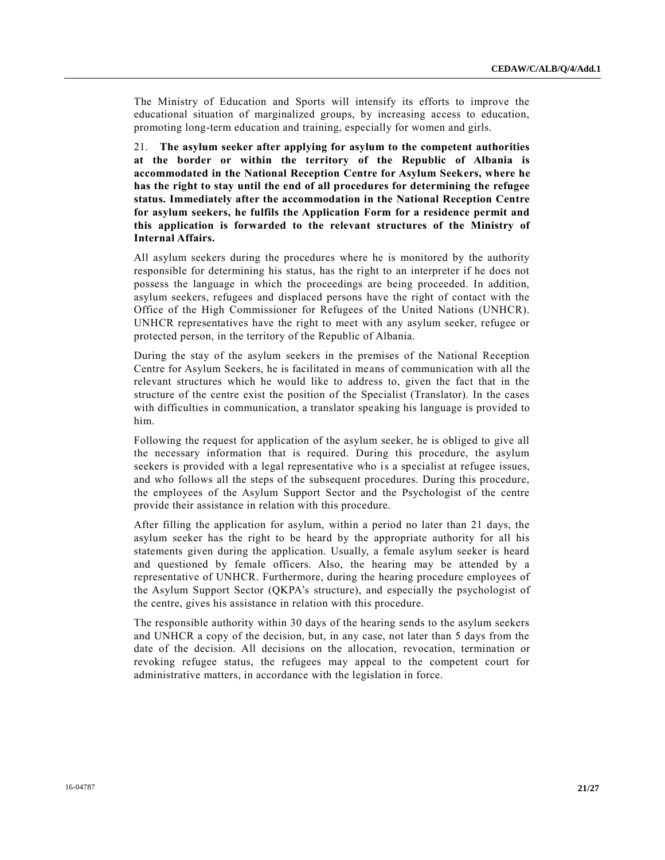The Ministry of Education and Sports will intensify its efforts to improve the educational situation of marginalized groups, by increasing access to education, promoting long-term education and training, especially for women and girls.

21. **The asylum seeker after applying for asylum to the competent authorities at the border or within the territory of the Republic of Albania is accommodated in the National Reception Centre for Asylum Seekers, where he has the right to stay until the end of all procedures for determining the refugee status. Immediately after the accommodation in the National Reception Centre for asylum seekers, he fulfils the Application Form for a residence permit and this application is forwarded to the relevant structures of the Ministry of Internal Affairs.**

All asylum seekers during the procedures where he is monitored by the authority responsible for determining his status, has the right to an interpreter if he does not possess the language in which the proceedings are being proceeded. In addition, asylum seekers, refugees and displaced persons have the right of contact with the Office of the High Commissioner for Refugees of the United Nations (UNHCR). UNHCR representatives have the right to meet with any asylum seeker, refugee or protected person, in the territory of the Republic of Albania.

During the stay of the asylum seekers in the premises of the National Reception Centre for Asylum Seekers, he is facilitated in means of communication with all the relevant structures which he would like to address to, given the fact that in the structure of the centre exist the position of the Specialist (Translator). In the cases with difficulties in communication, a translator speaking his language is provided to him.

Following the request for application of the asylum seeker, he is obliged to give all the necessary information that is required. During this procedure, the asylum seekers is provided with a legal representative who is a specialist at refugee issues, and who follows all the steps of the subsequent procedures. During this procedure, the employees of the Asylum Support Sector and the Psychologist of the centre provide their assistance in relation with this procedure.

After filling the application for asylum, within a period no later than 21 days, the asylum seeker has the right to be heard by the appropriate authority for all his statements given during the application. Usually, a female asylum seeker is heard and questioned by female officers. Also, the hearing may be attended by a representative of UNHCR. Furthermore, during the hearing procedure employees of the Asylum Support Sector (QKPA's structure), and especially the psychologist of the centre, gives his assistance in relation with this procedure.

The responsible authority within 30 days of the hearing sends to the asylum seekers and UNHCR a copy of the decision, but, in any case, not later than 5 days from the date of the decision. All decisions on the allocation, revocation, termination or revoking refugee status, the refugees may appeal to the competent court for administrative matters, in accordance with the legislation in force.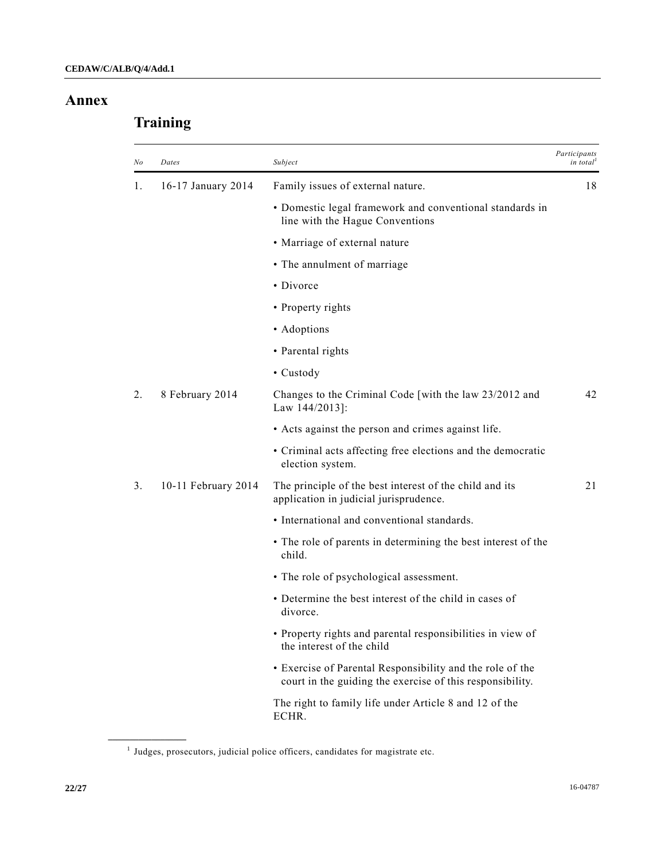# **Annex**

# **Training**

| No | Dates               | Subject                                                                                                                | Participants<br>in total |
|----|---------------------|------------------------------------------------------------------------------------------------------------------------|--------------------------|
| 1. | 16-17 January 2014  | Family issues of external nature.                                                                                      | 18                       |
|    |                     | • Domestic legal framework and conventional standards in<br>line with the Hague Conventions                            |                          |
|    |                     | • Marriage of external nature                                                                                          |                          |
|    |                     | • The annulment of marriage                                                                                            |                          |
|    |                     | • Divorce                                                                                                              |                          |
|    |                     | • Property rights                                                                                                      |                          |
|    |                     | • Adoptions                                                                                                            |                          |
|    |                     | • Parental rights                                                                                                      |                          |
|    |                     | • Custody                                                                                                              |                          |
| 2. | 8 February 2014     | Changes to the Criminal Code [with the law 23/2012 and<br>Law 144/2013]:                                               | 42                       |
|    |                     | • Acts against the person and crimes against life.                                                                     |                          |
|    |                     | • Criminal acts affecting free elections and the democratic<br>election system.                                        |                          |
| 3. | 10-11 February 2014 | The principle of the best interest of the child and its<br>application in judicial jurisprudence.                      | 21                       |
|    |                     | • International and conventional standards.                                                                            |                          |
|    |                     | • The role of parents in determining the best interest of the<br>child.                                                |                          |
|    |                     | • The role of psychological assessment.                                                                                |                          |
|    |                     | • Determine the best interest of the child in cases of<br>divorce.                                                     |                          |
|    |                     | · Property rights and parental responsibilities in view of<br>the interest of the child                                |                          |
|    |                     | • Exercise of Parental Responsibility and the role of the<br>court in the guiding the exercise of this responsibility. |                          |
|    |                     | The right to family life under Article 8 and 12 of the<br>ECHR.                                                        |                          |

<sup>&</sup>lt;sup>1</sup> Judges, prosecutors, judicial police officers, candidates for magistrate etc.

**\_\_\_\_\_\_\_\_\_\_\_\_\_\_\_\_\_\_**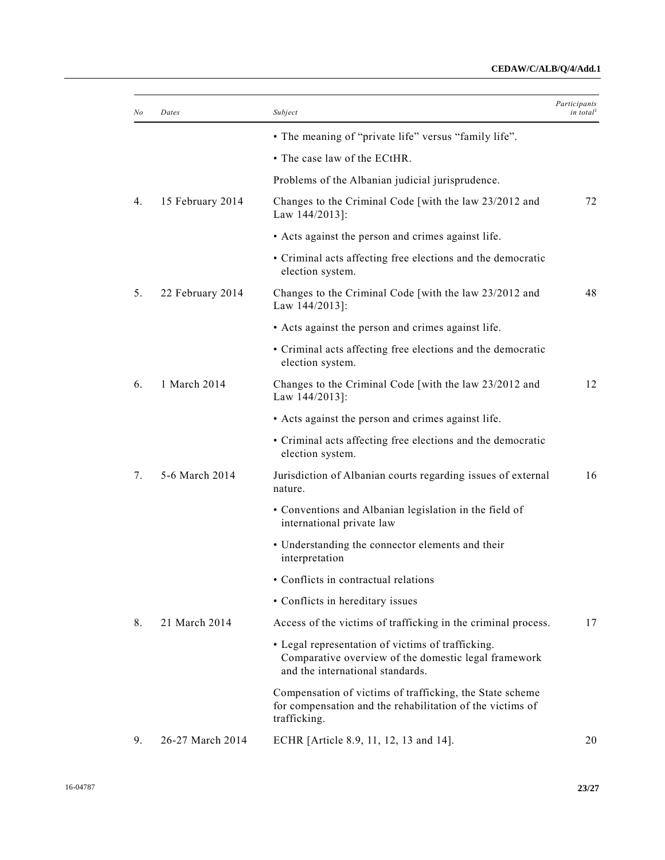# **CEDAW/C/ALB/Q/4/Add.1**

| No | Dates            | Subject                                                                                                                                       | Participants<br>in total <sup><math>\ell</math></sup> |
|----|------------------|-----------------------------------------------------------------------------------------------------------------------------------------------|-------------------------------------------------------|
|    |                  | • The meaning of "private life" versus "family life".                                                                                         |                                                       |
|    |                  | • The case law of the ECtHR.                                                                                                                  |                                                       |
|    |                  | Problems of the Albanian judicial jurisprudence.                                                                                              |                                                       |
| 4. | 15 February 2014 | Changes to the Criminal Code [with the law 23/2012 and<br>Law $144/2013$ :                                                                    | 72                                                    |
|    |                  | • Acts against the person and crimes against life.                                                                                            |                                                       |
|    |                  | • Criminal acts affecting free elections and the democratic<br>election system.                                                               |                                                       |
| 5. | 22 February 2014 | Changes to the Criminal Code [with the law 23/2012 and<br>Law 144/2013]:                                                                      | 48                                                    |
|    |                  | • Acts against the person and crimes against life.                                                                                            |                                                       |
|    |                  | • Criminal acts affecting free elections and the democratic<br>election system.                                                               |                                                       |
| 6. | 1 March 2014     | Changes to the Criminal Code [with the law 23/2012 and<br>Law $144/2013$ :                                                                    | 12                                                    |
|    |                  | • Acts against the person and crimes against life.                                                                                            |                                                       |
|    |                  | • Criminal acts affecting free elections and the democratic<br>election system.                                                               |                                                       |
| 7. | 5-6 March 2014   | Jurisdiction of Albanian courts regarding issues of external<br>nature.                                                                       | 16                                                    |
|    |                  | • Conventions and Albanian legislation in the field of<br>international private law                                                           |                                                       |
|    |                  | • Understanding the connector elements and their<br>interpretation                                                                            |                                                       |
|    |                  | • Conflicts in contractual relations                                                                                                          |                                                       |
|    |                  | • Conflicts in hereditary issues                                                                                                              |                                                       |
| 8. | 21 March 2014    | Access of the victims of trafficking in the criminal process.                                                                                 | 17                                                    |
|    |                  | • Legal representation of victims of trafficking.<br>Comparative overview of the domestic legal framework<br>and the international standards. |                                                       |
|    |                  | Compensation of victims of trafficking, the State scheme<br>for compensation and the rehabilitation of the victims of<br>trafficking.         |                                                       |
| 9. | 26-27 March 2014 | ECHR [Article 8.9, 11, 12, 13 and 14].                                                                                                        | 20                                                    |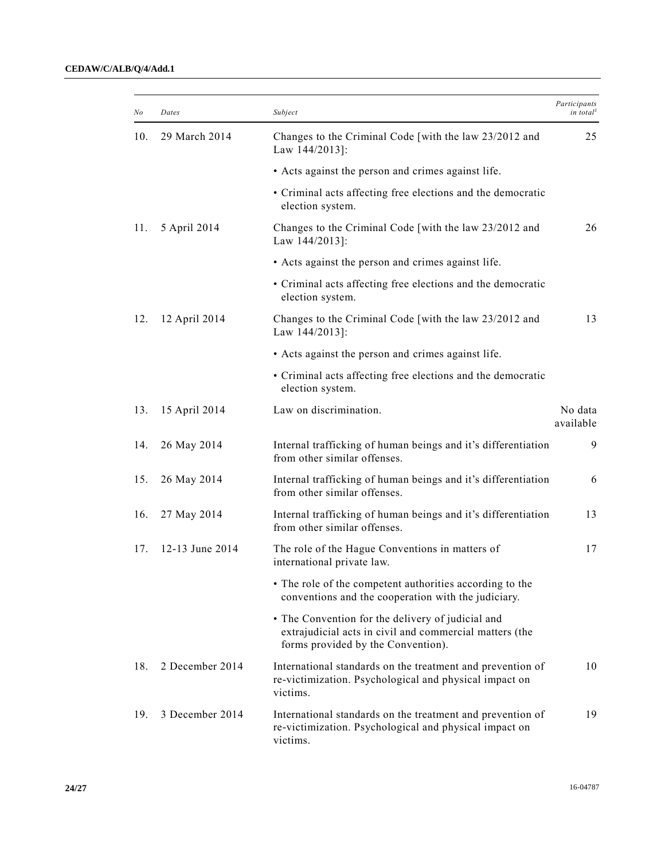| No  | Dates           | Subject                                                                                                                                            | Participants<br>in total <sup>1</sup> |
|-----|-----------------|----------------------------------------------------------------------------------------------------------------------------------------------------|---------------------------------------|
| 10. | 29 March 2014   | Changes to the Criminal Code [with the law 23/2012 and<br>Law 144/2013]:                                                                           | 25                                    |
|     |                 | • Acts against the person and crimes against life.                                                                                                 |                                       |
|     |                 | • Criminal acts affecting free elections and the democratic<br>election system.                                                                    |                                       |
| 11. | 5 April 2014    | Changes to the Criminal Code [with the law 23/2012 and<br>Law 144/2013]:                                                                           | 26                                    |
|     |                 | • Acts against the person and crimes against life.                                                                                                 |                                       |
|     |                 | • Criminal acts affecting free elections and the democratic<br>election system.                                                                    |                                       |
| 12. | 12 April 2014   | Changes to the Criminal Code [with the law 23/2012 and<br>Law 144/2013]:                                                                           | 13                                    |
|     |                 | • Acts against the person and crimes against life.                                                                                                 |                                       |
|     |                 | • Criminal acts affecting free elections and the democratic<br>election system.                                                                    |                                       |
| 13. | 15 April 2014   | Law on discrimination.                                                                                                                             | No data<br>available                  |
| 14. | 26 May 2014     | Internal trafficking of human beings and it's differentiation<br>from other similar offenses.                                                      | 9                                     |
| 15. | 26 May 2014     | Internal trafficking of human beings and it's differentiation<br>from other similar offenses.                                                      | 6                                     |
| 16. | 27 May 2014     | Internal trafficking of human beings and it's differentiation<br>from other similar offenses.                                                      | 13                                    |
| 17. | 12-13 June 2014 | The role of the Hague Conventions in matters of<br>international private law.                                                                      | 17                                    |
|     |                 | • The role of the competent authorities according to the<br>conventions and the cooperation with the judiciary.                                    |                                       |
|     |                 | • The Convention for the delivery of judicial and<br>extrajudicial acts in civil and commercial matters (the<br>forms provided by the Convention). |                                       |
| 18. | 2 December 2014 | International standards on the treatment and prevention of<br>re-victimization. Psychological and physical impact on<br>victims.                   | 10                                    |
| 19. | 3 December 2014 | International standards on the treatment and prevention of<br>re-victimization. Psychological and physical impact on<br>victims.                   | 19                                    |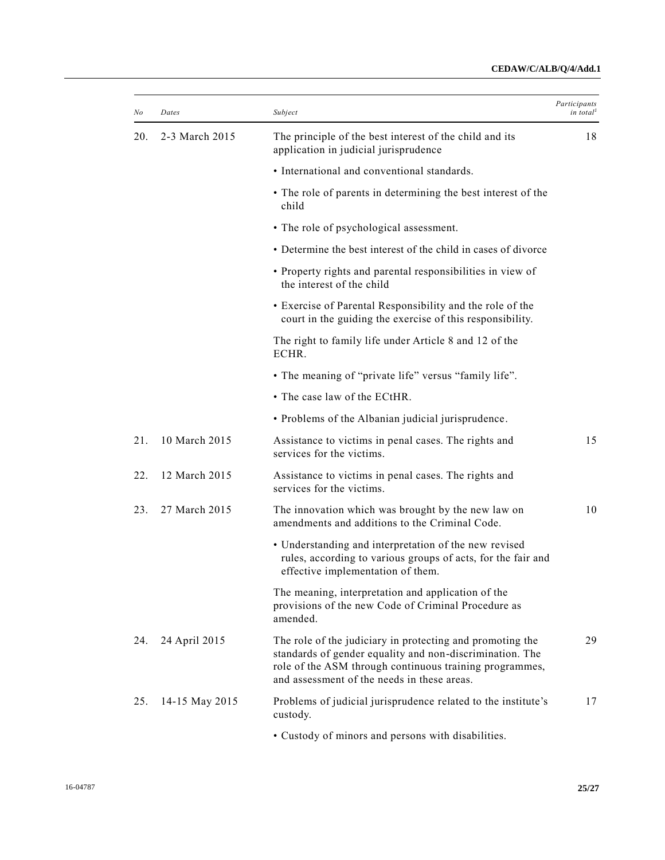| No  | Dates          | Subject                                                                                                                                                                                                                         | Participants<br>in total <sup>1</sup> |
|-----|----------------|---------------------------------------------------------------------------------------------------------------------------------------------------------------------------------------------------------------------------------|---------------------------------------|
| 20. | 2-3 March 2015 | The principle of the best interest of the child and its<br>application in judicial jurisprudence                                                                                                                                | 18                                    |
|     |                | • International and conventional standards.                                                                                                                                                                                     |                                       |
|     |                | • The role of parents in determining the best interest of the<br>child                                                                                                                                                          |                                       |
|     |                | • The role of psychological assessment.                                                                                                                                                                                         |                                       |
|     |                | • Determine the best interest of the child in cases of divorce                                                                                                                                                                  |                                       |
|     |                | • Property rights and parental responsibilities in view of<br>the interest of the child                                                                                                                                         |                                       |
|     |                | • Exercise of Parental Responsibility and the role of the<br>court in the guiding the exercise of this responsibility.                                                                                                          |                                       |
|     |                | The right to family life under Article 8 and 12 of the<br>ECHR.                                                                                                                                                                 |                                       |
|     |                | • The meaning of "private life" versus "family life".                                                                                                                                                                           |                                       |
|     |                | • The case law of the ECtHR.                                                                                                                                                                                                    |                                       |
|     |                | • Problems of the Albanian judicial jurisprudence.                                                                                                                                                                              |                                       |
| 21. | 10 March 2015  | Assistance to victims in penal cases. The rights and<br>services for the victims.                                                                                                                                               | 15                                    |
| 22. | 12 March 2015  | Assistance to victims in penal cases. The rights and<br>services for the victims.                                                                                                                                               |                                       |
| 23. | 27 March 2015  | The innovation which was brought by the new law on<br>amendments and additions to the Criminal Code.                                                                                                                            | 10                                    |
|     |                | • Understanding and interpretation of the new revised<br>rules, according to various groups of acts, for the fair and<br>effective implementation of them.                                                                      |                                       |
|     |                | The meaning, interpretation and application of the<br>provisions of the new Code of Criminal Procedure as<br>amended.                                                                                                           |                                       |
| 24. | 24 April 2015  | The role of the judiciary in protecting and promoting the<br>standards of gender equality and non-discrimination. The<br>role of the ASM through continuous training programmes,<br>and assessment of the needs in these areas. | 29                                    |
| 25. | 14-15 May 2015 | Problems of judicial jurisprudence related to the institute's<br>custody.                                                                                                                                                       | 17                                    |
|     |                | • Custody of minors and persons with disabilities.                                                                                                                                                                              |                                       |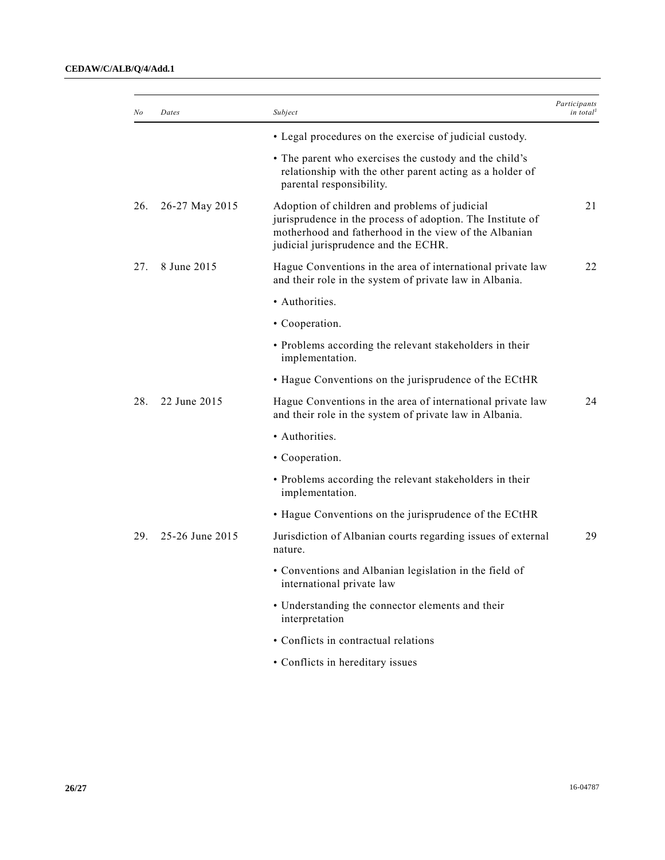| No  | Dates           | Subject                                                                                                                                                                                                      | Participants<br>in total <sup>1</sup> |
|-----|-----------------|--------------------------------------------------------------------------------------------------------------------------------------------------------------------------------------------------------------|---------------------------------------|
|     |                 | • Legal procedures on the exercise of judicial custody.                                                                                                                                                      |                                       |
|     |                 | • The parent who exercises the custody and the child's<br>relationship with the other parent acting as a holder of<br>parental responsibility.                                                               |                                       |
| 26. | 26-27 May 2015  | Adoption of children and problems of judicial<br>jurisprudence in the process of adoption. The Institute of<br>motherhood and fatherhood in the view of the Albanian<br>judicial jurisprudence and the ECHR. | 21                                    |
| 27. | 8 June 2015     | Hague Conventions in the area of international private law<br>and their role in the system of private law in Albania.                                                                                        | 22                                    |
|     |                 | • Authorities.                                                                                                                                                                                               |                                       |
|     |                 | • Cooperation.                                                                                                                                                                                               |                                       |
|     |                 | • Problems according the relevant stakeholders in their<br>implementation.                                                                                                                                   |                                       |
|     |                 | • Hague Conventions on the jurisprudence of the ECtHR                                                                                                                                                        |                                       |
| 28. | 22 June 2015    | Hague Conventions in the area of international private law<br>and their role in the system of private law in Albania.                                                                                        | 24                                    |
|     |                 | • Authorities.                                                                                                                                                                                               |                                       |
|     |                 | • Cooperation.                                                                                                                                                                                               |                                       |
|     |                 | • Problems according the relevant stakeholders in their<br>implementation.                                                                                                                                   |                                       |
|     |                 | • Hague Conventions on the jurisprudence of the ECtHR                                                                                                                                                        |                                       |
| 29. | 25-26 June 2015 | Jurisdiction of Albanian courts regarding issues of external<br>nature.                                                                                                                                      | 29                                    |
|     |                 | • Conventions and Albanian legislation in the field of<br>international private law                                                                                                                          |                                       |
|     |                 | • Understanding the connector elements and their<br>interpretation                                                                                                                                           |                                       |
|     |                 | • Conflicts in contractual relations                                                                                                                                                                         |                                       |
|     |                 | • Conflicts in hereditary issues                                                                                                                                                                             |                                       |